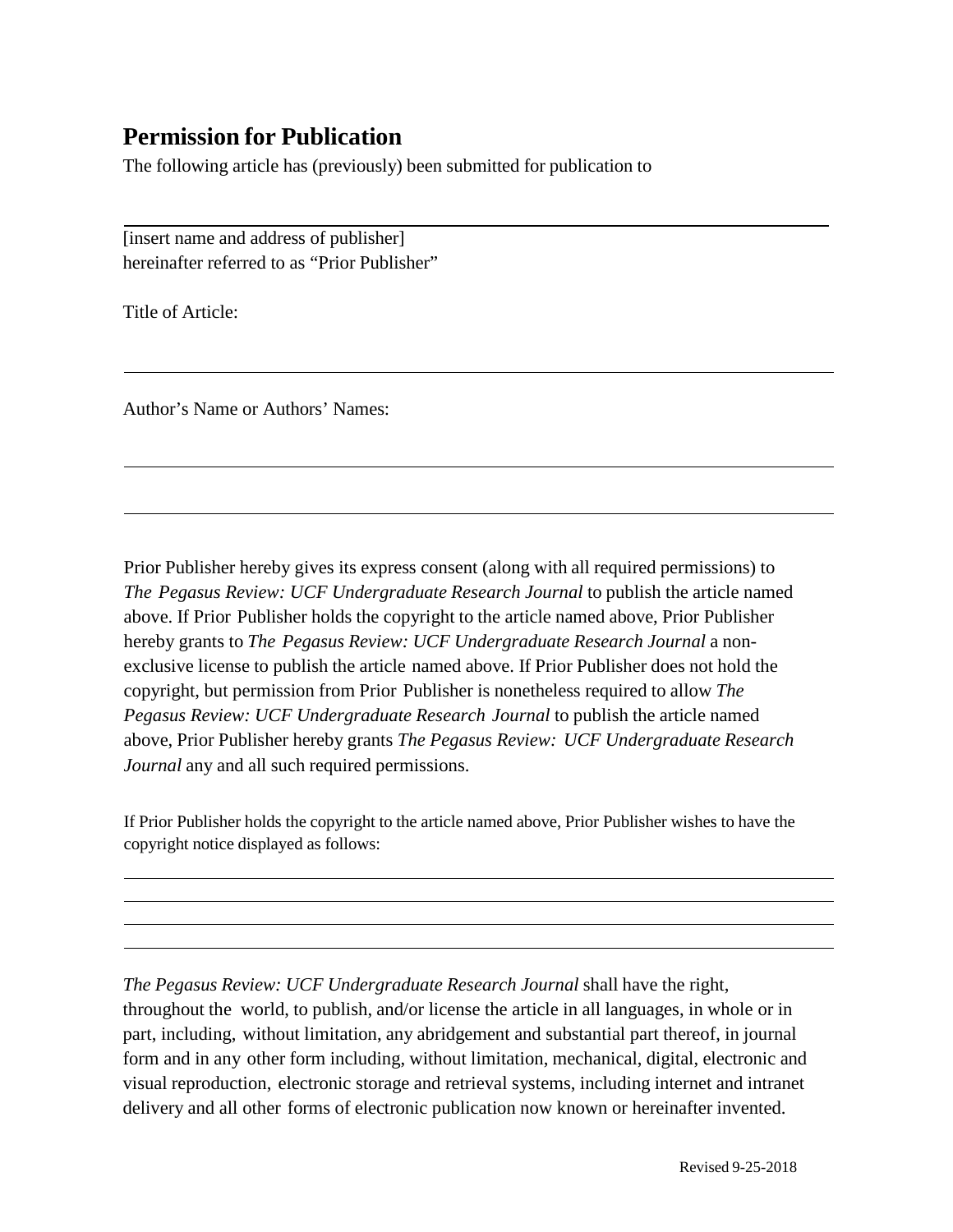## **Permission for Publication**

The following article has (previously) been submitted for publication to

[insert name and address of publisher] hereinafter referred to as "Prior Publisher"

Title of Article:

Author's Name or Authors' Names:

Prior Publisher hereby gives its express consent (along with all required permissions) to *The Pegasus Review: UCF Undergraduate Research Journal* to publish the article named above. If Prior Publisher holds the copyright to the article named above, Prior Publisher hereby grants to *The Pegasus Review: UCF Undergraduate Research Journal* a nonexclusive license to publish the article named above. If Prior Publisher does not hold the copyright, but permission from Prior Publisher is nonetheless required to allow *The Pegasus Review: UCF Undergraduate Research Journal* to publish the article named above, Prior Publisher hereby grants *The Pegasus Review: UCF Undergraduate Research Journal* any and all such required permissions.

If Prior Publisher holds the copyright to the article named above, Prior Publisher wishes to have the copyright notice displayed as follows:

*The Pegasus Review: UCF Undergraduate Research Journal* shall have the right, throughout the world, to publish, and/or license the article in all languages, in whole or in part, including, without limitation, any abridgement and substantial part thereof, in journal form and in any other form including, without limitation, mechanical, digital, electronic and visual reproduction, electronic storage and retrieval systems, including internet and intranet delivery and all other forms of electronic publication now known or hereinafter invented.